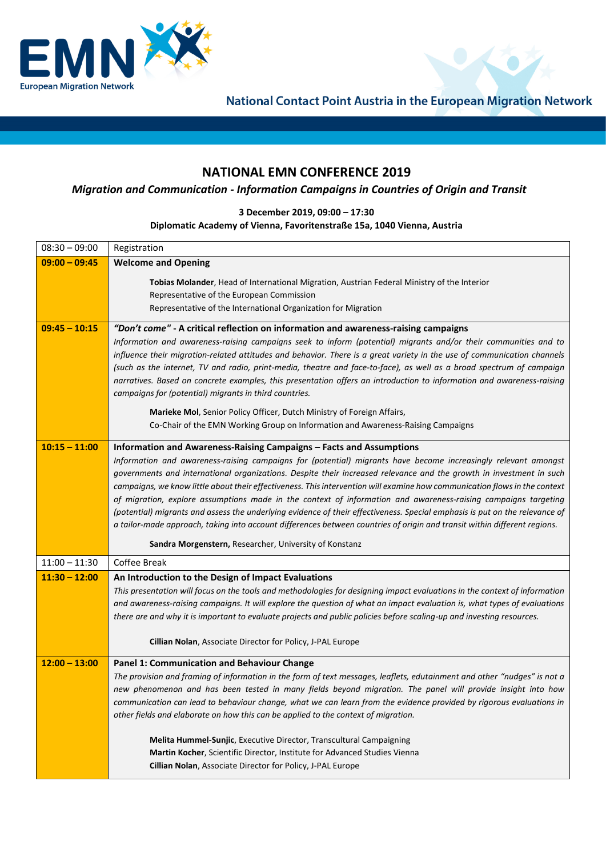

National Contact Point Austria in the European Migration Network

 $\bullet$ 

## **NATIONAL EMN CONFERENCE 2019**

## *Migration and Communication - Information Campaigns in Countries of Origin and Transit*

## **3 December 2019, 09:00 – 17:30**

## **Diplomatic Academy of Vienna, Favoritenstraße 15a, 1040 Vienna, Austria**

| $08:30 - 09:00$ | Registration                                                                                                                                                                                                                                    |
|-----------------|-------------------------------------------------------------------------------------------------------------------------------------------------------------------------------------------------------------------------------------------------|
| $09:00 - 09:45$ | <b>Welcome and Opening</b>                                                                                                                                                                                                                      |
|                 | Tobias Molander, Head of International Migration, Austrian Federal Ministry of the Interior                                                                                                                                                     |
|                 | Representative of the European Commission                                                                                                                                                                                                       |
|                 | Representative of the International Organization for Migration                                                                                                                                                                                  |
| $09:45 - 10:15$ | "Don't come" - A critical reflection on information and awareness-raising campaigns                                                                                                                                                             |
|                 | Information and awareness-raising campaigns seek to inform (potential) migrants and/or their communities and to                                                                                                                                 |
|                 | influence their migration-related attitudes and behavior. There is a great variety in the use of communication channels<br>(such as the internet, TV and radio, print-media, theatre and face-to-face), as well as a broad spectrum of campaign |
|                 | narratives. Based on concrete examples, this presentation offers an introduction to information and awareness-raising                                                                                                                           |
|                 | campaigns for (potential) migrants in third countries.                                                                                                                                                                                          |
|                 | Marieke Mol, Senior Policy Officer, Dutch Ministry of Foreign Affairs,                                                                                                                                                                          |
|                 | Co-Chair of the EMN Working Group on Information and Awareness-Raising Campaigns                                                                                                                                                                |
| $10:15 - 11:00$ | Information and Awareness-Raising Campaigns - Facts and Assumptions                                                                                                                                                                             |
|                 | Information and awareness-raising campaigns for (potential) migrants have become increasingly relevant amongst                                                                                                                                  |
|                 | governments and international organizations. Despite their increased relevance and the growth in investment in such                                                                                                                             |
|                 | campaigns, we know little about their effectiveness. This intervention will examine how communication flows in the context                                                                                                                      |
|                 | of migration, explore assumptions made in the context of information and awareness-raising campaigns targeting<br>(potential) migrants and assess the underlying evidence of their effectiveness. Special emphasis is put on the relevance of   |
|                 | a tailor-made approach, taking into account differences between countries of origin and transit within different regions.                                                                                                                       |
|                 | Sandra Morgenstern, Researcher, University of Konstanz                                                                                                                                                                                          |
| $11:00 - 11:30$ | Coffee Break                                                                                                                                                                                                                                    |
| $11:30 - 12:00$ | An Introduction to the Design of Impact Evaluations                                                                                                                                                                                             |
|                 | This presentation will focus on the tools and methodologies for designing impact evaluations in the context of information                                                                                                                      |
|                 | and awareness-raising campaigns. It will explore the question of what an impact evaluation is, what types of evaluations                                                                                                                        |
|                 | there are and why it is important to evaluate projects and public policies before scaling-up and investing resources.                                                                                                                           |
|                 | Cillian Nolan, Associate Director for Policy, J-PAL Europe                                                                                                                                                                                      |
| $12:00 - 13:00$ | <b>Panel 1: Communication and Behaviour Change</b>                                                                                                                                                                                              |
|                 | The provision and framing of information in the form of text messages, leaflets, edutainment and other "nudges" is not a                                                                                                                        |
|                 | new phenomenon and has been tested in many fields beyond migration. The panel will provide insight into how                                                                                                                                     |
|                 | communication can lead to behaviour change, what we can learn from the evidence provided by rigorous evaluations in<br>other fields and elaborate on how this can be applied to the context of migration.                                       |
|                 |                                                                                                                                                                                                                                                 |
|                 | Melita Hummel-Sunjic, Executive Director, Transcultural Campaigning                                                                                                                                                                             |
|                 | Martin Kocher, Scientific Director, Institute for Advanced Studies Vienna                                                                                                                                                                       |
|                 | Cillian Nolan, Associate Director for Policy, J-PAL Europe                                                                                                                                                                                      |